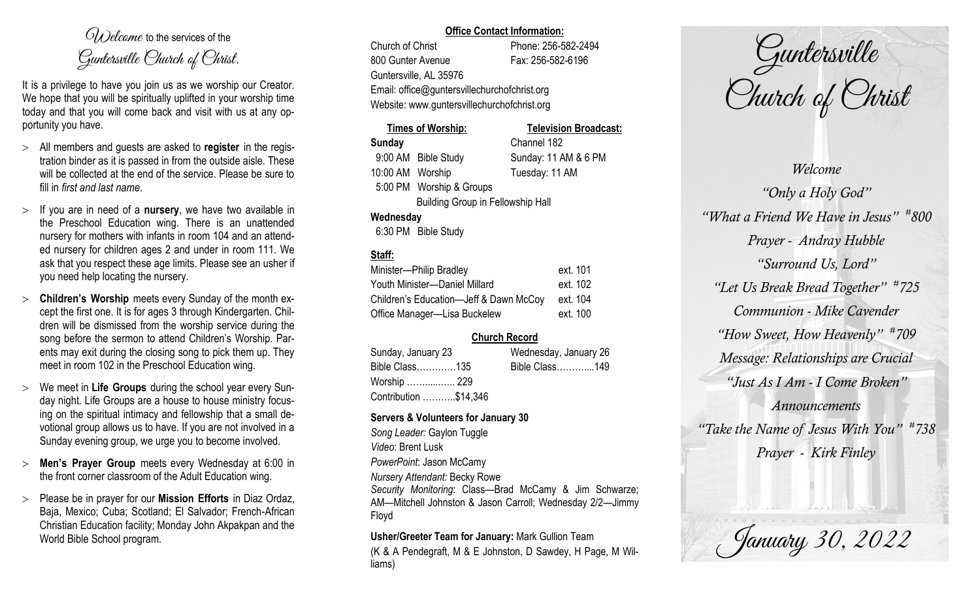$O(\lambda)$  elcame to the services of the Guntersville Church of Christ.

It is a privilege to have you join us as we worship our Creator. We hope that you will be spiritually uplifted in your worship time today and that you will come back and visit with us at any opportunity you have.

- All members and guests are asked to **register** in the registration binder as it is passed in from the outside aisle. These will be collected at the end of the service. Please be sure to fill in *first and last name*.
- $>$  If you are in need of a **nursery**, we have two available in the Preschool Education wing. There is an unattended nursery for mothers with infants in room 104 and an attended nursery for children ages 2 and under in room 111. We ask that you respect these age limits. Please see an usher if you need help locating the nursery.
- **Children's Worship** meets every Sunday of the month except the first one. It is for ages 3 through Kindergarten. Children will be dismissed from the worship service during the song before the sermon to attend Children's Worship. Parents may exit during the closing song to pick them up. They meet in room 102 in the Preschool Education wing.
- We meet in **Life Groups** during the school year every Sunday night. Life Groups are a house to house ministry focusing on the spiritual intimacy and fellowship that a small devotional group allows us to have. If you are not involved in a Sunday evening group, we urge you to become involved.
- **Men's Prayer Group** meets every Wednesday at 6:00 in the front corner classroom of the Adult Education wing.
- Please be in prayer for our **Mission Efforts** in Diaz Ordaz, Baja, Mexico; Cuba; Scotland; El Salvador; French-African Christian Education facility; Monday John Akpakpan and the World Bible School program.

### **Office Contact Information:**

Church of Christ Phone: 256-582-2494 800 Gunter Avenue Fax: 256-582-6196 Guntersville, AL 35976 Email: office@guntersvillechurchofchrist.org Website: www.guntersvillechurchofchrist.org

# **Times of Worship: Television Broadcast: Sunday** Channel 182 9:00 AM Bible Study Sunday: 11 AM & 6 PM 10:00 AM Worship Tuesday: 11 AM 5:00 PM Worship & Groups Building Group in Fellowship Hall

### **Wednesday**

6:30 PM Bible Study

## **Staff:**

| Minister-Philip Bradley                | ext. 101 |
|----------------------------------------|----------|
| Youth Minister-Daniel Millard          | ext. 102 |
| Children's Education-Jeff & Dawn McCoy | ext. 104 |
| Office Manager-Lisa Buckelew           | ext. 100 |

## **Church Record**

| Sunday, January 23    |  | Wednesday, January 26 |  |
|-----------------------|--|-----------------------|--|
| Bible Class135        |  | Bible Class149        |  |
| Worship  229          |  |                       |  |
| Contribution \$14,346 |  |                       |  |

## **Servers & Volunteers for January 30**

*Song Leader:* Gaylon Tuggle *Video*: Brent Lusk *PowerPoint*: Jason McCamy *Nursery Attendant:* Becky Rowe *Security Monitoring*: Class—Brad McCamy & Jim Schwarze;

AM—Mitchell Johnston & Jason Carroll; Wednesday 2/2—Jimmy Floyd

**Usher/Greeter Team for January:** Mark Gullion Team

(K & A Pendegraft, M & E Johnston, D Sawdey, H Page, M Williams)

Guntersville Church of Christ

*Welcome "Only a Holy God" "What a Friend We Have in Jesus" # 800 Prayer - Andray Hubble "Surround Us, Lord" "Let Us Break Bread Together" # 725 Communion - Mike Cavender "How Sweet, How Heavenly" # 709 Message: Relationships are Crucial "Just As I Am - I Come Broken" Announcements "Take the Name of Jesus With You" # 738 Prayer - Kirk Finley*

January 30, 2022